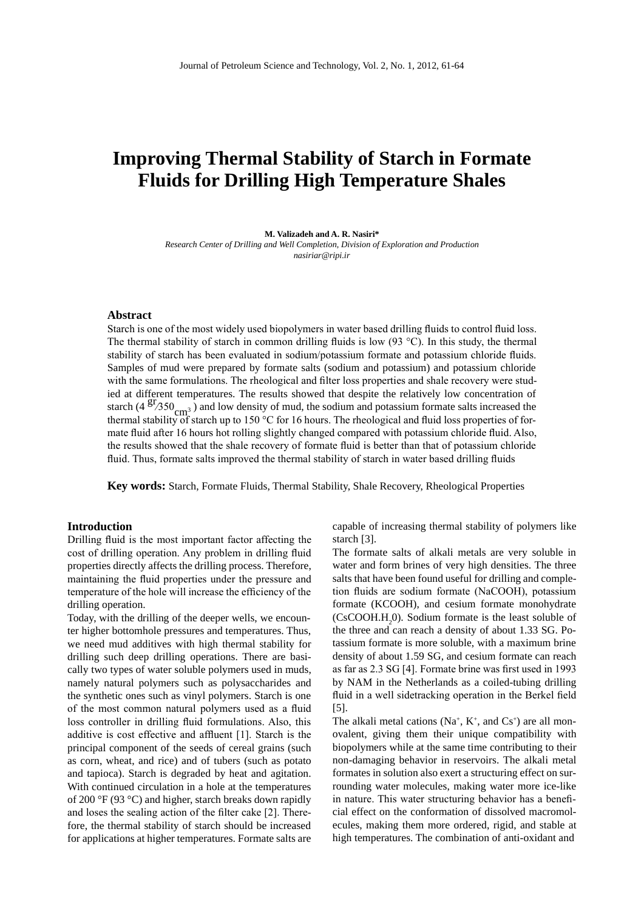# **Improving Thermal Stability of Starch in Formate Fluids for Drilling High Temperature Shales**

#### **M. Valizadeh and A. R. Nasiri\***

*Research Center of Drilling and Well Completion, Division of Exploration and Production [nasiriar@ripi.ir](mailto:nasiriar@ripi.ir)*

### **Abstract**

Starch is one of the most widely used biopolymers in water based drilling fluids to control fluid loss. The thermal stability of starch in common drilling fluids is low (93 °C). In this study, the thermal stability of starch has been evaluated in sodium/potassium formate and potassium chloride fluids. Samples of mud were prepared by formate salts (sodium and potassium) and potassium chloride with the same formulations. The rheological and filter loss properties and shale recovery were studied at different temperatures. The results showed that despite the relatively low concentration of starch (4  $^{gr}/350 \text{ cm}^3$ ) and low density of mud, the sodium and potassium formate salts increased the solution of the solution of the solution of the solution of the solution of the solution of the solution of the solut thermal stability of starch up to 150 °C for 16 hours. The rheological and fluid loss properties of formate fluid after 16 hours hot rolling slightly changed compared with potassium chloride fluid. Also, the results showed that the shale recovery of formate fluid is better than that of potassium chloride fluid. Thus, formate salts improved the thermal stability of starch in water based drilling fluids

**Key words:** Starch, Formate Fluids, Thermal Stability, Shale Recovery, Rheological Properties

#### **Introduction**

Drilling fluid is the most important factor affecting the cost of drilling operation. Any problem in drilling fluid properties directly affects the drilling process. Therefore, maintaining the fluid properties under the pressure and temperature of the hole will increase the efficiency of the drilling operation.

Today, with the drilling of the deeper wells, we encounter higher bottomhole pressures and temperatures. Thus, we need mud additives with high thermal stability for drilling such deep drilling operations. There are basically two types of water soluble polymers used in muds, namely natural polymers such as polysaccharides and the synthetic ones such as vinyl polymers. Starch is one of the most common natural polymers used as a fluid loss controller in drilling fluid formulations. Also, this additive is cost effective and affluent [1]. Starch is the principal component of the seeds of cereal grains (such as corn, wheat, and rice) and of tubers (such as potato and tapioca). Starch is degraded by heat and agitation. With continued circulation in a hole at the temperatures of 200 °F (93 °C) and higher, starch breaks down rapidly and loses the sealing action of the filter cake [2]. Therefore, the thermal stability of starch should be increased for applications at higher temperatures. Formate salts are capable of increasing thermal stability of polymers like starch [3].

The formate salts of alkali metals are very soluble in water and form brines of very high densities. The three salts that have been found useful for drilling and completion fluids are sodium formate (NaCOOH), potassium formate (KCOOH), and cesium formate monohydrate  $(CsCOOH.H<sub>2</sub>0)$ . Sodium formate is the least soluble of the three and can reach a density of about 1.33 SG. Potassium formate is more soluble, with a maximum brine density of about 1.59 SG, and cesium formate can reach as far as 2.3 SG [4]. Formate brine was first used in 1993 by NAM in the Netherlands as a coiled-tubing drilling fluid in a well sidetracking operation in the Berkel field [5].

The alkali metal cations ( $Na^+$ ,  $K^+$ , and  $Cs^+$ ) are all monovalent, giving them their unique compatibility with biopolymers while at the same time contributing to their non-damaging behavior in reservoirs. The alkali metal formates in solution also exert a structuring effect on surrounding water molecules, making water more ice-like in nature. This water structuring behavior has a beneficial effect on the conformation of dissolved macromolecules, making them more ordered, rigid, and stable at high temperatures. The combination of anti-oxidant and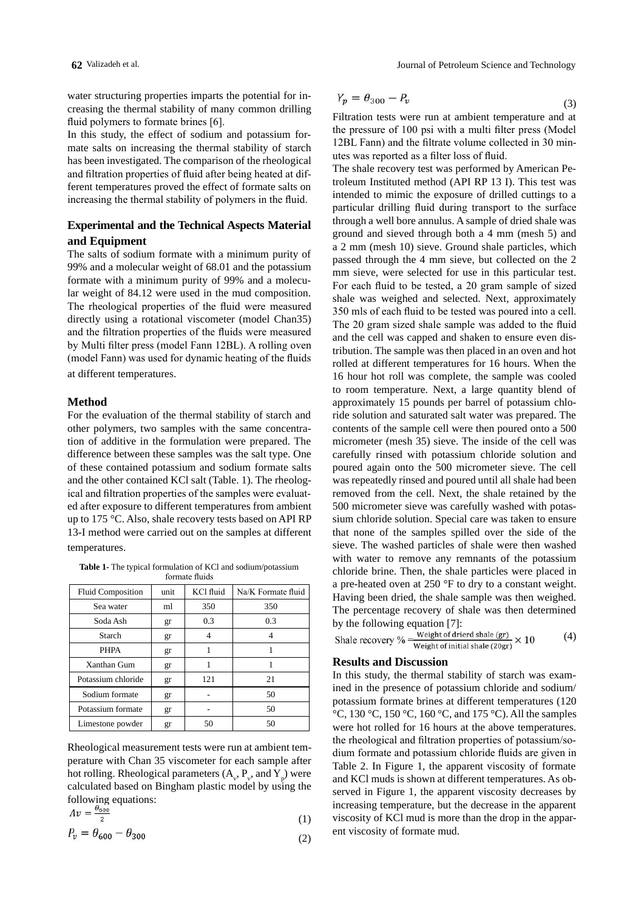water structuring properties imparts the potential for increasing the thermal stability of many common drilling fluid polymers to formate brines [6].

In this study, the effect of sodium and potassium formate salts on increasing the thermal stability of starch has been investigated. The comparison of the rheological and filtration properties of fluid after being heated at different temperatures proved the effect of formate salts on increasing the thermal stability of polymers in the fluid.

## **Experimental and the Technical Aspects Material and Equipment**

The salts of sodium formate with a minimum purity of 99% and a molecular weight of 68.01 and the potassium formate with a minimum purity of 99% and a molecular weight of 84.12 were used in the mud composition. The rheological properties of the fluid were measured directly using a rotational viscometer (model Chan35) and the filtration properties of the fluids were measured by Multi filter press (model Fann 12BL). A rolling oven (model Fann) was used for dynamic heating of the fluids at different temperatures.

#### **Method**

For the evaluation of the thermal stability of starch and other polymers, two samples with the same concentration of additive in the formulation were prepared. The difference between these samples was the salt type. One of these contained potassium and sodium formate salts and the other contained KCl salt (Table. 1). The rheological and filtration properties of the samples were evaluated after exposure to different temperatures from ambient up to 175 °C. Also, shale recovery tests based on API RP 13-I method were carried out on the samples at different temperatures.

**Table 1-** The typical formulation of KCl and sodium/potassium

| formate fluids           |      |           |                    |  |  |  |
|--------------------------|------|-----------|--------------------|--|--|--|
| <b>Fluid Composition</b> | unit | KCl fluid | Na/K Formate fluid |  |  |  |
| Sea water                | ml   | 350       | 350                |  |  |  |
| Soda Ash                 | gr   | 0.3       | 0.3                |  |  |  |
| Starch                   | gr   | 4         | 4                  |  |  |  |
| <b>PHPA</b>              | gr   | 1         |                    |  |  |  |
| Xanthan Gum              | gr   | 1         | 1                  |  |  |  |
| Potassium chloride       | gr   | 121       | 21                 |  |  |  |
| Sodium formate           | gr   |           | 50                 |  |  |  |
| Potassium formate        | gr   |           | 50                 |  |  |  |
| Limestone powder         | gr   | 50        | 50                 |  |  |  |

Rheological measurement tests were run at ambient temperature with Chan 35 viscometer for each sample after hot rolling. Rheological parameters  $(A_{\nu}, P_{\nu}, \text{ and } Y_{p})$  were calculated based on Bingham plastic model by using the following equations:<br> $\frac{\theta_{600}}{4}$ 

$$
Av = \frac{1}{2} \tag{1}
$$

$$
P_v = \theta_{600} - \theta_{300} \tag{2}
$$

$$
Y_p = \theta_{300} - P_v \tag{3}
$$

Filtration tests were run at ambient temperature and at the pressure of 100 psi with a multi filter press (Model 12BL Fann) and the filtrate volume collected in 30 minutes was reported as a filter loss of fluid.

The shale recovery test was performed by American Petroleum Instituted method (API RP 13 I). This test was intended to mimic the exposure of drilled cuttings to a particular drilling fluid during transport to the surface through a well bore annulus. A sample of dried shale was ground and sieved through both a 4 mm (mesh 5) and a 2 mm (mesh 10) sieve. Ground shale particles, which passed through the 4 mm sieve, but collected on the 2 mm sieve, were selected for use in this particular test. For each fluid to be tested, a 20 gram sample of sized shale was weighed and selected. Next, approximately 350 mls of each fluid to be tested was poured into a cell. The 20 gram sized shale sample was added to the fluid and the cell was capped and shaken to ensure even distribution. The sample was then placed in an oven and hot rolled at different temperatures for 16 hours. When the 16 hour hot roll was complete, the sample was cooled to room temperature. Next, a large quantity blend of approximately 15 pounds per barrel of potassium chloride solution and saturated salt water was prepared. The contents of the sample cell were then poured onto a 500 micrometer (mesh 35) sieve. The inside of the cell was carefully rinsed with potassium chloride solution and poured again onto the 500 micrometer sieve. The cell was repeatedly rinsed and poured until all shale had been removed from the cell. Next, the shale retained by the 500 micrometer sieve was carefully washed with potassium chloride solution. Special care was taken to ensure that none of the samples spilled over the side of the sieve. The washed particles of shale were then washed with water to remove any remnants of the potassium chloride brine. Then, the shale particles were placed in a pre-heated oven at 250 °F to dry to a constant weight. Having been dried, the shale sample was then weighed. The percentage recovery of shale was then determined

by the following equation [7]:<br>Shale recovery %  $\frac{Weight of \, direct \, shade \, (gr)}{Weight \, of \, initial \, shade \, (20gr)} \times 10$ (4)

#### **Results and Discussion**

In this study, the thermal stability of starch was examined in the presence of potassium chloride and sodium/ potassium formate brines at different temperatures (120 °C, 130 °C, 150 °C, 160 °C, and 175 °C). All the samples were hot rolled for 16 hours at the above temperatures. the rheological and filtration properties of potassium/sodium formate and potassium chloride fluids are given in Table 2. In Figure 1, the apparent viscosity of formate and KCl muds is shown at different temperatures. As observed in Figure 1, the apparent viscosity decreases by increasing temperature, but the decrease in the apparent viscosity of KCl mud is more than the drop in the apparent viscosity of formate mud.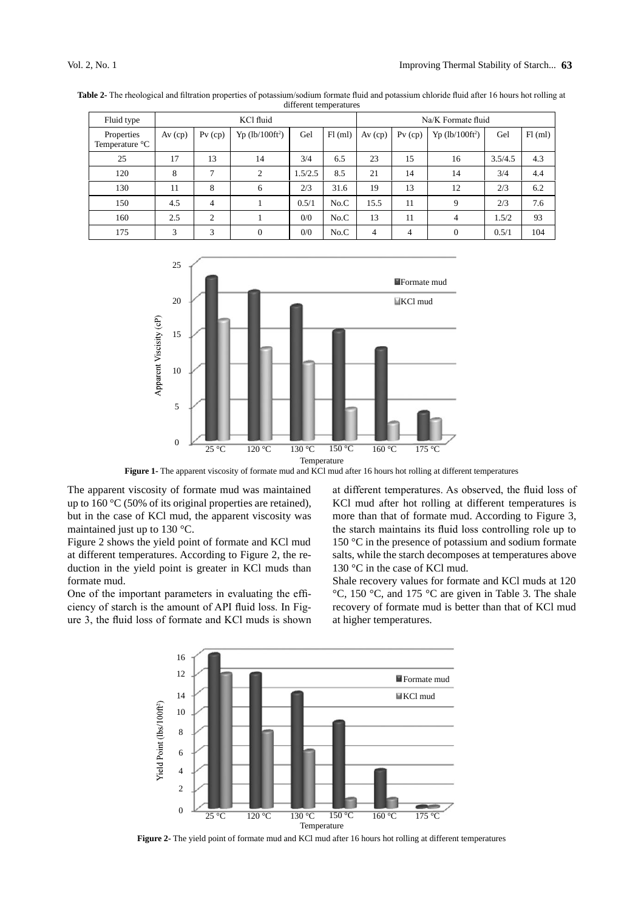| Fluid type                   | KCl fluid |           |                               | Na/K Formate fluid |        |           |           |                               |         |         |
|------------------------------|-----------|-----------|-------------------------------|--------------------|--------|-----------|-----------|-------------------------------|---------|---------|
| Properties<br>Temperature °C | $Av$ (cp) | $Pv$ (cp) | $Yp$ (lb/100ft <sup>2</sup> ) | Gel                | Fl(ml) | $Av$ (cp) | $Pv$ (cp) | $Yp$ (lb/100ft <sup>2</sup> ) | Gel     | Fl (ml) |
| 25                           | 17        | 13        | 14                            | 3/4                | 6.5    | 23        | 15        | 16                            | 3.5/4.5 | 4.3     |
| 120                          | 8         | 7         | 2                             | 1.5/2.5            | 8.5    | 21        | 14        | 14                            | 3/4     | 4.4     |
| 130                          | 11        | 8         | 6                             | 2/3                | 31.6   | 19        | 13        | 12                            | 2/3     | 6.2     |
| 150                          | 4.5       | 4         |                               | 0.5/1              | No.C   | 15.5      | 11        | 9                             | 2/3     | 7.6     |
| 160                          | 2.5       | 2         |                               | 0/0                | No.C   | 13        | 11        | $\overline{4}$                | 1.5/2   | 93      |
| 175                          | 3         | 3         | $\overline{0}$                | 0/0                | No.C   | 4         | 4         | $\mathbf{0}$                  | 0.5/1   | 104     |

**Table 2-** The rheological and filtration properties of potassium/sodium formate fluid and potassium chloride fluid after 16 hours hot rolling at different temperatures



**Figure 1-** The apparent viscosity of formate mud and KCl mud after 16 hours hot rolling at different temperatures

The apparent viscosity of formate mud was maintained up to 160 °C (50% of its original properties are retained), but in the case of KCl mud, the apparent viscosity was maintained just up to 130 °C.

Figure 2 shows the yield point of formate and KCl mud at different temperatures. According to Figure 2, the reduction in the yield point is greater in KCl muds than formate mud.

One of the important parameters in evaluating the efficiency of starch is the amount of API fluid loss. In Figure 3, the fluid loss of formate and KCl muds is shown at different temperatures. As observed, the fluid loss of KCl mud after hot rolling at different temperatures is more than that of formate mud. According to Figure 3, the starch maintains its fluid loss controlling role up to 150 °C in the presence of potassium and sodium formate salts, while the starch decomposes at temperatures above 130 °C in the case of KCl mud.

Shale recovery values for formate and KCl muds at 120 °C, 150 °C, and 175 °C are given in Table 3. The shale recovery of formate mud is better than that of KCl mud at higher temperatures.



**Figure 2-** The yield point of formate mud and KCl mud after 16 hours hot rolling at different temperatures